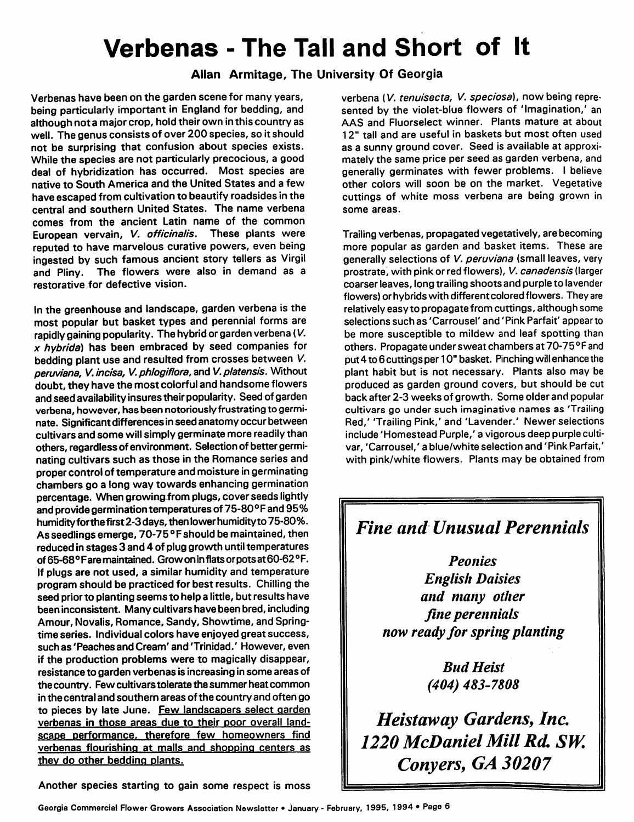## *Verbenas - The Tall and Short of It*

## *Allan Armitage, The University Of Georgia*

Verbenas have been on the garden scene for many years, being particularly important in England for bedding, and although not a major crop, hold their own in this country as well. The genus consists of over 200 species, so itshould not be surprising that confusion about species exists. While the species are not particularly precocious, a good deal of hybridization has occurred. Most species are native to South America and the United States and a few have escaped from cultivation to beautify roadsides in the central and southern United States. The name verbena comes from the ancient Latin name of the common European vervain, **V. officinalis.** These plants were reputed to have marvelous curative powers, even being ingested by such famous ancient story tellers as Virgil and Pliny. The flowers were also in demand as a restorative for defective vision.

In the greenhouse and landscape, garden verbena is the most popular but basket types and perennial forms are rapidly gaining popularity. The hybrid or garden verbena (V. **x hybrida)** has been embraced by seed companies for bedding plant use and resulted from crosses between **V. peruviana, V.incisa, V.phlogiflora,** and **V.platensis.** Without doubt, they have the most colorful and handsome flowers and seed availability insures their popularity. Seed of garden verbena, however, has been notoriously frustrating to germi nate. Significantdifferencesinseed anatomy occur between cultivars and some will simply germinate more readily than others, regardless of environment. Selection of better germi nating cultivars such as those in the Romance series and proper control of temperature and moisture ingerminating chambers go a long way towards enhancing germination percentage. When growing from plugs, cover seeds lightly and providegermination temperatures of 75-80°Fand 95% humidityforthe first 2-3 days, then lower humidityto 75-80%. As seedlings emerge, 70-75 °F should be maintained, then reduced in stages 3 and 4 of plug growth until temperatures of 65-68°Faremaintained. Growoninflats orpots at60-62° F. If plugs are not used, a similar humidity and temperature program should be practiced for best results. Chilling the seed prior to planting seems to help a little, but results have been inconsistent. Many cultivars have been bred, including Amour, Novalis, Romance, Sandy, Showtime, and Spring time series. Individual colors have enjoyed great success, such as'Peaches and Cream'and Trinidad.' However, even if the production problems were to magically disappear, resistance to garden verbenas is increasing in some areas of the country. Few cultivars tolerate the summer heat common in the central and southern areas of the country and often go to pieces by late June. Few landscapers select garden verbenas in those areas due to their poor overall landscape performance, therefore few homeowners find verbenas flourishing at malls and shopping centers as they do other bedding plants.

verbena (V. **tenuisecta, V. speciosa),** now being repre sented by the violet-blue flowers of 'Imagination,' an AAS and Fluorselect winner. Plants mature at about 12" tall and are useful in baskets but most often used as a sunny ground cover. Seed is available at approxi mately the same price per seed as garden verbena, and generally germinates with fewer problems. I believe other colors will soon be on the market. Vegetative cuttings of white moss verbena are being grown in some areas.

Trailing verbenas, propagated vegetatively, are becoming more popular as garden and basket items. These are generally selections of **V. peruviana** (small leaves, very prostrate, with pink or red flowers), V. **canadensis** (larger coarser leaves, long trailing shoots and purple to lavender flowers) or hybrids with different colored flowers. They are relatively easy to propagate from cuttings, although some selections such as 'Carrousel' and 'Pink Parfait' appear to be more susceptible to mildew and leaf spotting than others. Propagate under sweat chambers at 70-75 °F and put 4 to 6 cuttings per 10" basket. Pinching willenhance the plant habit but is not necessary. Plants also may be produced as garden ground covers, but should be cut back after 2-3 weeks of growth. Some older and popular cultivars go under such imaginative names as 'Trailing Red,' 'Trailing Pink,' and 'Lavender.' Newer selections include 'Homestead Purple,' a vigorous deep purple cultivar, 'Carrousel,' a blue/white selection and 'Pink Parfait,' with pink/white flowers. Plants may be obtained from

## *Fine and Unusual Perennials*

*Peonies English Daisies and many other fine perennials now ready for spring planting*

> *Bud Heist (404) 483-7808*

*Heistaway Gardens, Inc. 1220 McDaniel Mill Rd. SW. Conyers, GA 30207*

Another species starting to gain some respect is moss